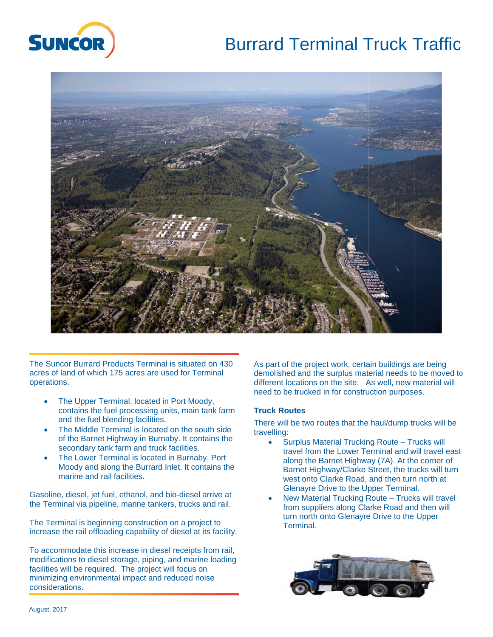





 operations. The Suncor Burrard Products Terminal is situated on 430 acres of land of which 175 acres are used for Terminal

- The Upper Terminal, located in Port Moody, contains the fuel processing units, main tank farm and the fuel blending facilities.
- The Middle Terminal is located on the south side of the Barnet Highway in Burnaby. It contains the secondary tank farm and truck facilities.
- The Lower Terminal is located in Burnaby, Port Moody and along the Burrard Inlet. It contains the marine and rail facilities.

Gasoline, diesel, jet fuel, ethanol, and bio-diesel arrive at the Terminal via pipeline, marine tankers, trucks and rail.

The Terminal is beginning construction on a project to increase the rail offloading capability of diesel at its facility.

To accommodate this increase in diesel receipts from rail, modifications to diesel storage, piping, and marine loading facilities will be required. The project will focus on minimizing environmental impact and reduced noise considerations.

As part of the project work, certain buildings are being demolished and the surplus material needs to be moved to different locations on the site. As well, new material will need to be trucked in for construction purposes.

## **Truck Routes**

There will be two routes that the haul/dump trucks will be travelling:

- Surplus Material Trucking Route Trucks will travel from the Lower Terminal and will travel east along the Barnet Highway (7A). At the corner of Barnet Highway/Clarke Street, the trucks will turn west onto Clarke Road, and then turn north at Glenayre Drive to the Upper Terminal.
- New Material Trucking Route Trucks will travel from suppliers along Clarke Road and then will turn north onto Glenayre Drive to the Upper Terminal.